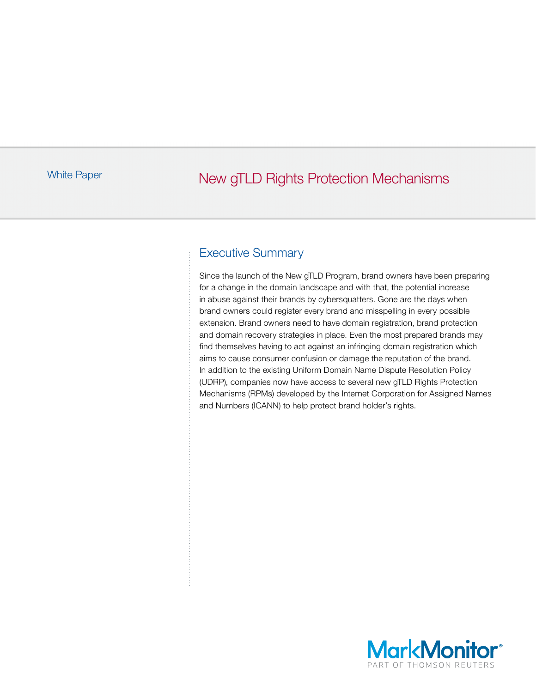# White Paper **New gTLD Rights Protection Mechanisms**

### Executive Summary

Since the launch of the New gTLD Program, brand owners have been preparing for a change in the domain landscape and with that, the potential increase in abuse against their brands by cybersquatters. Gone are the days when brand owners could register every brand and misspelling in every possible extension. Brand owners need to have domain registration, brand protection and domain recovery strategies in place. Even the most prepared brands may find themselves having to act against an infringing domain registration which aims to cause consumer confusion or damage the reputation of the brand. In addition to the existing Uniform Domain Name Dispute Resolution Policy (UDRP), companies now have access to several new gTLD Rights Protection Mechanisms (RPMs) developed by the Internet Corporation for Assigned Names and Numbers (ICANN) to help protect brand holder's rights.

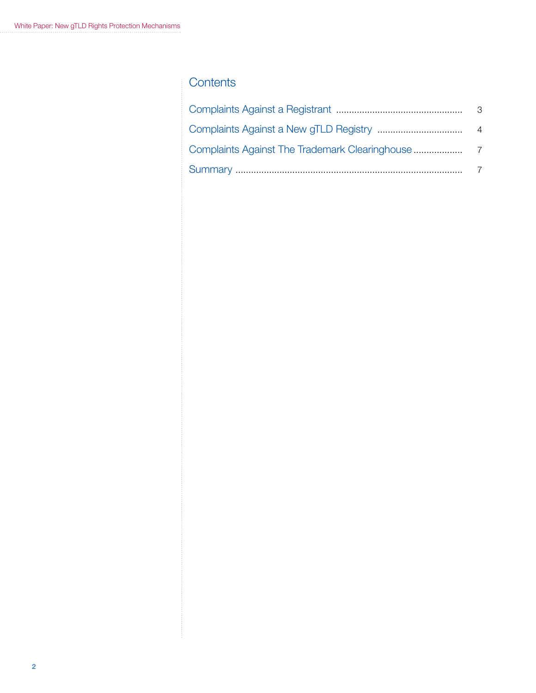### **Contents**

| - 3 |
|-----|
|     |
|     |
|     |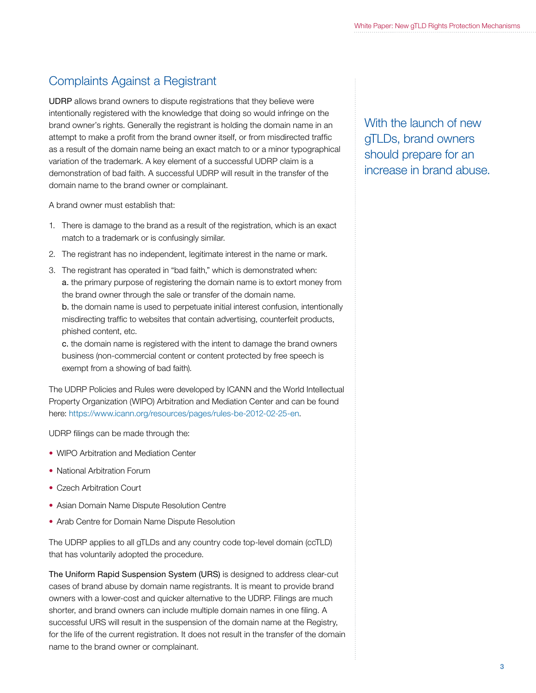# Complaints Against a Registrant

UDRP allows brand owners to dispute registrations that they believe were intentionally registered with the knowledge that doing so would infringe on the brand owner's rights. Generally the registrant is holding the domain name in an attempt to make a profit from the brand owner itself, or from misdirected traffic as a result of the domain name being an exact match to or a minor typographical variation of the trademark. A key element of a successful UDRP claim is a demonstration of bad faith. A successful UDRP will result in the transfer of the domain name to the brand owner or complainant.

A brand owner must establish that:

- 1. There is damage to the brand as a result of the registration, which is an exact match to a trademark or is confusingly similar.
- 2. The registrant has no independent, legitimate interest in the name or mark.
- 3. The registrant has operated in "bad faith," which is demonstrated when: a. the primary purpose of registering the domain name is to extort money from the brand owner through the sale or transfer of the domain name. b. the domain name is used to perpetuate initial interest confusion, intentionally misdirecting traffic to websites that contain advertising, counterfeit products,

phished content, etc. c. the domain name is registered with the intent to damage the brand owners

business (non-commercial content or content protected by free speech is exempt from a showing of bad faith).

The UDRP Policies and Rules were developed by ICANN and the World Intellectual Property Organization (WIPO) Arbitration and Mediation Center and can be found here: https://www.icann.org/resources/pages/rules-be-2012-02-25-en.

UDRP filings can be made through the:

- WIPO Arbitration and Mediation Center
- National Arbitration Forum
- Czech Arbitration Court
- Asian Domain Name Dispute Resolution Centre
- Arab Centre for Domain Name Dispute Resolution

The UDRP applies to all gTLDs and any country code top-level domain (ccTLD) that has voluntarily adopted the procedure.

The Uniform Rapid Suspension System (URS) is designed to address clear-cut cases of brand abuse by domain name registrants. It is meant to provide brand owners with a lower-cost and quicker alternative to the UDRP. Filings are much shorter, and brand owners can include multiple domain names in one filing. A successful URS will result in the suspension of the domain name at the Registry, for the life of the current registration. It does not result in the transfer of the domain name to the brand owner or complainant.

With the launch of new gTLDs, brand owners should prepare for an increase in brand abuse.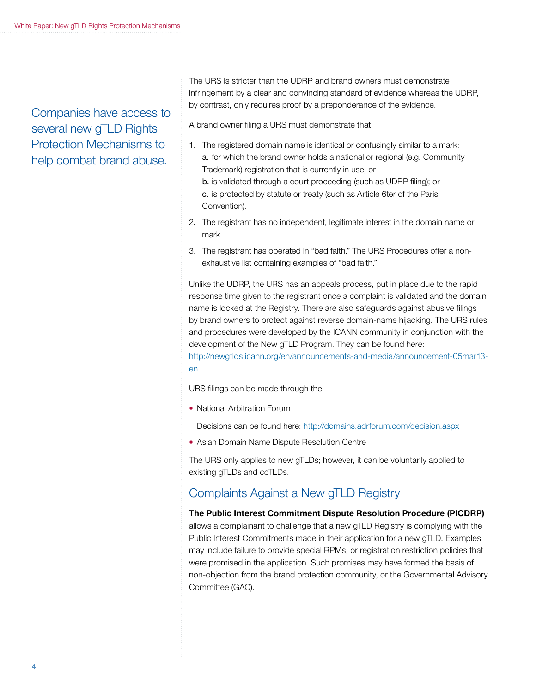Companies have access to several new gTLD Rights Protection Mechanisms to help combat brand abuse.

The URS is stricter than the UDRP and brand owners must demonstrate infringement by a clear and convincing standard of evidence whereas the UDRP, by contrast, only requires proof by a preponderance of the evidence.

A brand owner filing a URS must demonstrate that:

- 1. The registered domain name is identical or confusingly similar to a mark: a. for which the brand owner holds a national or regional (e.g. Community Trademark) registration that is currently in use; or b. is validated through a court proceeding (such as UDRP filing); or c. is protected by statute or treaty (such as Article 6ter of the Paris Convention).
- 2. The registrant has no independent, legitimate interest in the domain name or mark.
- 3. The registrant has operated in "bad faith." The URS Procedures offer a nonexhaustive list containing examples of "bad faith."

Unlike the UDRP, the URS has an appeals process, put in place due to the rapid response time given to the registrant once a complaint is validated and the domain name is locked at the Registry. There are also safeguards against abusive filings by brand owners to protect against reverse domain-name hijacking. The URS rules and procedures were developed by the ICANN community in conjunction with the development of the New gTLD Program. They can be found here: http://newgtlds.icann.org/en/announcements-and-media/announcement-05mar13-

en.

URS filings can be made through the:

• National Arbitration Forum

Decisions can be found here: http://domains.adrforum.com/decision.aspx

• Asian Domain Name Dispute Resolution Centre

The URS only applies to new gTLDs; however, it can be voluntarily applied to existing gTLDs and ccTLDs.

## Complaints Against a New gTLD Registry

#### The Public Interest Commitment Dispute Resolution Procedure (PICDRP)

allows a complainant to challenge that a new gTLD Registry is complying with the Public Interest Commitments made in their application for a new gTLD. Examples may include failure to provide special RPMs, or registration restriction policies that were promised in the application. Such promises may have formed the basis of non-objection from the brand protection community, or the Governmental Advisory Committee (GAC).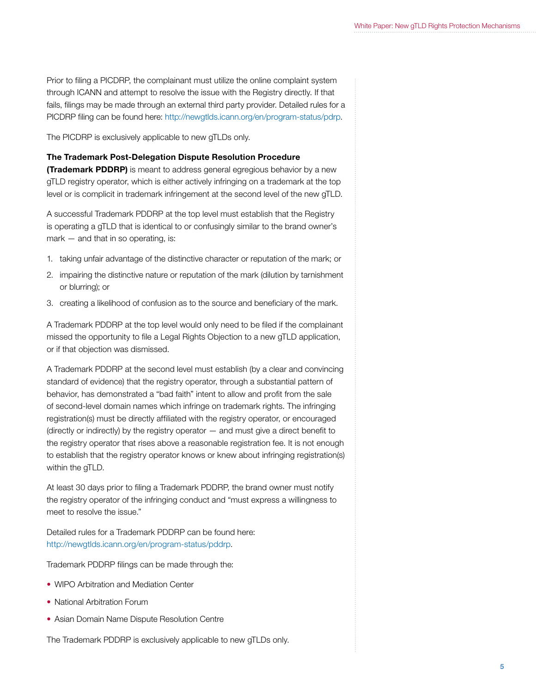Prior to filing a PICDRP, the complainant must utilize the online complaint system through ICANN and attempt to resolve the issue with the Registry directly. If that fails, filings may be made through an external third party provider. Detailed rules for a PICDRP filing can be found here: http://newgtlds.icann.org/en/program-status/pdrp.

The PICDRP is exclusively applicable to new gTLDs only.

#### The Trademark Post-Delegation Dispute Resolution Procedure

**(Trademark PDDRP)** is meant to address general egregious behavior by a new gTLD registry operator, which is either actively infringing on a trademark at the top level or is complicit in trademark infringement at the second level of the new gTLD.

A successful Trademark PDDRP at the top level must establish that the Registry is operating a gTLD that is identical to or confusingly similar to the brand owner's mark – and that in so operating, is:

- 1. taking unfair advantage of the distinctive character or reputation of the mark; or
- 2. impairing the distinctive nature or reputation of the mark (dilution by tarnishment or blurring); or
- 3. creating a likelihood of confusion as to the source and beneficiary of the mark.

A Trademark PDDRP at the top level would only need to be filed if the complainant missed the opportunity to file a Legal Rights Objection to a new gTLD application, or if that objection was dismissed.

A Trademark PDDRP at the second level must establish (by a clear and convincing standard of evidence) that the registry operator, through a substantial pattern of behavior, has demonstrated a "bad faith" intent to allow and profit from the sale of second-level domain names which infringe on trademark rights. The infringing registration(s) must be directly affiliated with the registry operator, or encouraged (directly or indirectly) by the registry operator — and must give a direct benefit to the registry operator that rises above a reasonable registration fee. It is not enough to establish that the registry operator knows or knew about infringing registration(s) within the gTLD.

At least 30 days prior to filing a Trademark PDDRP, the brand owner must notify the registry operator of the infringing conduct and "must express a willingness to meet to resolve the issue."

Detailed rules for a Trademark PDDRP can be found here: http://newgtlds.icann.org/en/program-status/pddrp.

Trademark PDDRP filings can be made through the:

- WIPO Arbitration and Mediation Center
- National Arbitration Forum
- Asian Domain Name Dispute Resolution Centre

The Trademark PDDRP is exclusively applicable to new gTLDs only.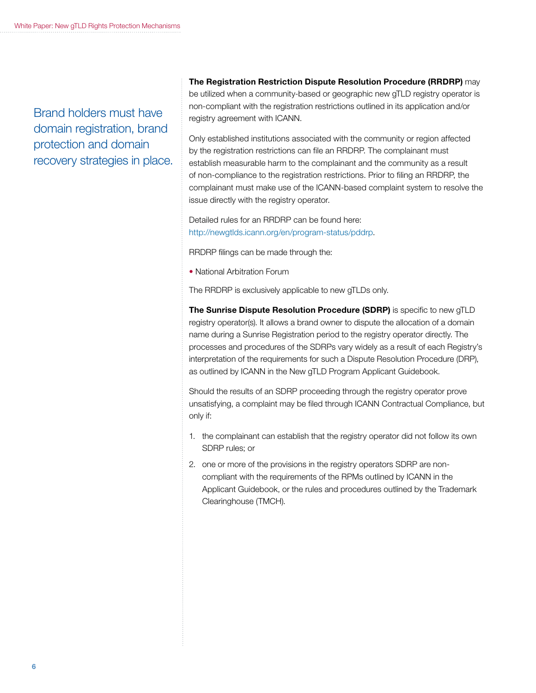Brand holders must have domain registration, brand protection and domain recovery strategies in place.

The Registration Restriction Dispute Resolution Procedure (RRDRP) may be utilized when a community-based or geographic new gTLD registry operator is non-compliant with the registration restrictions outlined in its application and/or registry agreement with ICANN.

Only established institutions associated with the community or region affected by the registration restrictions can file an RRDRP. The complainant must establish measurable harm to the complainant and the community as a result of non-compliance to the registration restrictions. Prior to filing an RRDRP, the complainant must make use of the ICANN-based complaint system to resolve the issue directly with the registry operator.

Detailed rules for an RRDRP can be found here: http://newgtlds.icann.org/en/program-status/pddrp.

RRDRP filings can be made through the:

• National Arbitration Forum

The RRDRP is exclusively applicable to new gTLDs only.

The Sunrise Dispute Resolution Procedure (SDRP) is specific to new gTLD registry operator(s). It allows a brand owner to dispute the allocation of a domain name during a Sunrise Registration period to the registry operator directly. The processes and procedures of the SDRPs vary widely as a result of each Registry's interpretation of the requirements for such a Dispute Resolution Procedure (DRP), as outlined by ICANN in the New gTLD Program Applicant Guidebook.

Should the results of an SDRP proceeding through the registry operator prove unsatisfying, a complaint may be filed through ICANN Contractual Compliance, but only if:

- 1. the complainant can establish that the registry operator did not follow its own SDRP rules; or
- 2. one or more of the provisions in the registry operators SDRP are noncompliant with the requirements of the RPMs outlined by ICANN in the Applicant Guidebook, or the rules and procedures outlined by the Trademark Clearinghouse (TMCH).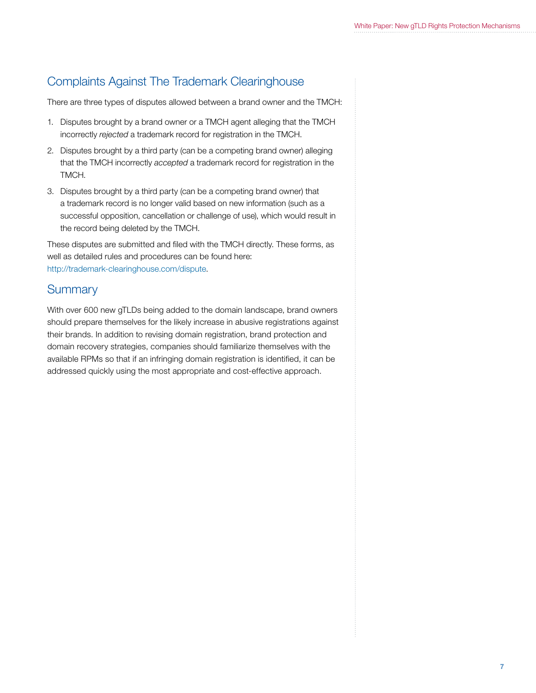# Complaints Against The Trademark Clearinghouse

There are three types of disputes allowed between a brand owner and the TMCH:

- 1. Disputes brought by a brand owner or a TMCH agent alleging that the TMCH incorrectly *rejected* a trademark record for registration in the TMCH.
- 2. Disputes brought by a third party (can be a competing brand owner) alleging that the TMCH incorrectly *accepted* a trademark record for registration in the TMCH.
- 3. Disputes brought by a third party (can be a competing brand owner) that a trademark record is no longer valid based on new information (such as a successful opposition, cancellation or challenge of use), which would result in the record being deleted by the TMCH.

These disputes are submitted and filed with the TMCH directly. These forms, as well as detailed rules and procedures can be found here: http://trademark-clearinghouse.com/dispute.

### **Summary**

With over 600 new gTLDs being added to the domain landscape, brand owners should prepare themselves for the likely increase in abusive registrations against their brands. In addition to revising domain registration, brand protection and domain recovery strategies, companies should familiarize themselves with the available RPMs so that if an infringing domain registration is identified, it can be addressed quickly using the most appropriate and cost-effective approach.